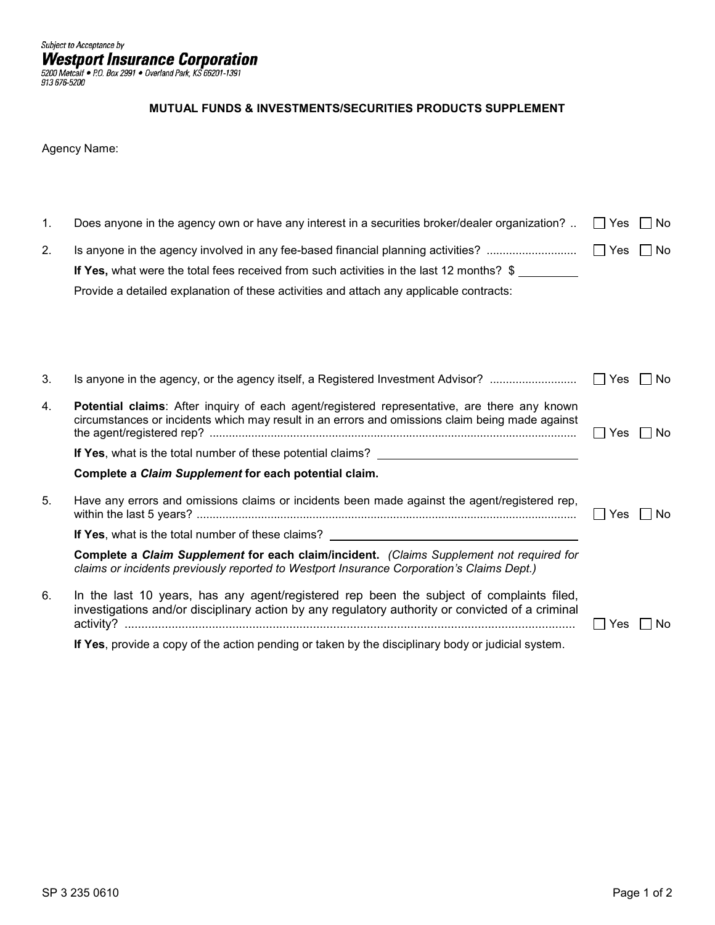## **MUTUAL FUNDS & INVESTMENTS/SECURITIES PRODUCTS SUPPLEMENT**

Agency Name:

| 1. | Does anyone in the agency own or have any interest in a securities broker/dealer organization?                                                                                                                                                                          | $\Box$ Yes           | No    |
|----|-------------------------------------------------------------------------------------------------------------------------------------------------------------------------------------------------------------------------------------------------------------------------|----------------------|-------|
| 2. | Is anyone in the agency involved in any fee-based financial planning activities?<br>If Yes, what were the total fees received from such activities in the last 12 months? \$<br>Provide a detailed explanation of these activities and attach any applicable contracts: | $\Box$ Yes $\Box$ No |       |
| 3. | Is anyone in the agency, or the agency itself, a Registered Investment Advisor?                                                                                                                                                                                         | $\Box$ Yes           | l INo |
| 4. | Potential claims: After inquiry of each agent/registered representative, are there any known<br>circumstances or incidents which may result in an errors and omissions claim being made against                                                                         | l l Yes              | No.   |
|    | If Yes, what is the total number of these potential claims?                                                                                                                                                                                                             |                      |       |
|    | Complete a Claim Supplement for each potential claim.                                                                                                                                                                                                                   |                      |       |
| 5. | Have any errors and omissions claims or incidents been made against the agent/registered rep,                                                                                                                                                                           | l Yes                | No.   |
|    |                                                                                                                                                                                                                                                                         |                      |       |
|    | Complete a Claim Supplement for each claim/incident. (Claims Supplement not required for<br>claims or incidents previously reported to Westport Insurance Corporation's Claims Dept.)                                                                                   |                      |       |
| 6. | In the last 10 years, has any agent/registered rep been the subject of complaints filed,<br>investigations and/or disciplinary action by any regulatory authority or convicted of a criminal                                                                            | <b>Yes</b>           | No.   |
|    | If Yes, provide a copy of the action pending or taken by the disciplinary body or judicial system.                                                                                                                                                                      |                      |       |